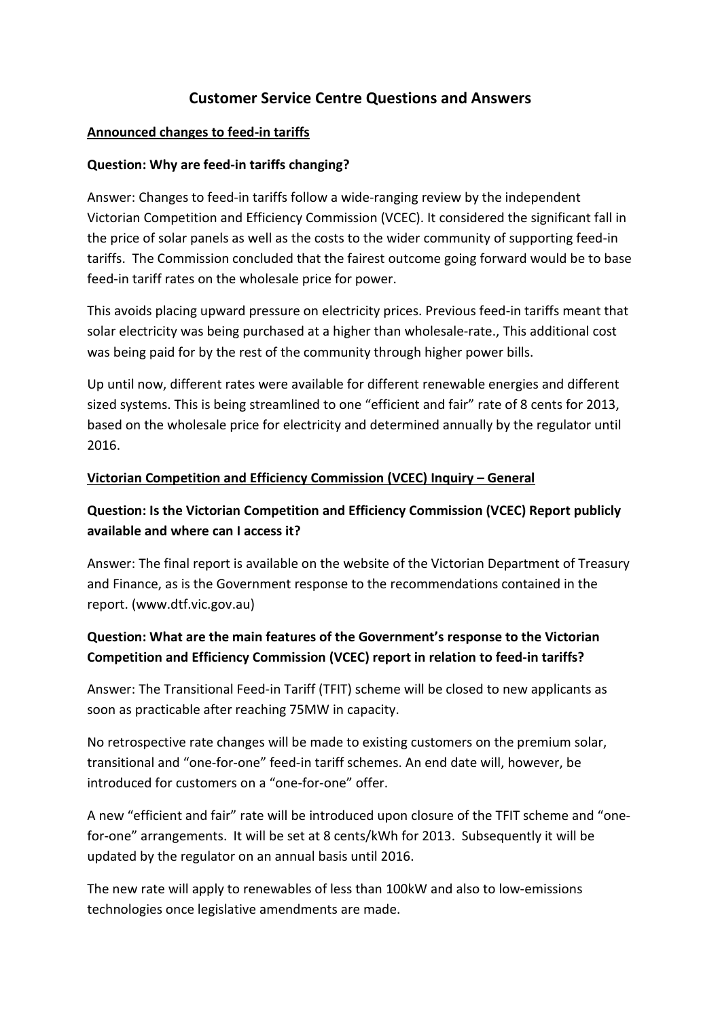## **Customer Service Centre Questions and Answers**

#### **Announced changes to feed-in tariffs**

#### **Question: Why are feed-in tariffs changing?**

Answer: Changes to feed-in tariffs follow a wide-ranging review by the independent Victorian Competition and Efficiency Commission (VCEC). It considered the significant fall in the price of solar panels as well as the costs to the wider community of supporting feed-in tariffs. The Commission concluded that the fairest outcome going forward would be to base feed-in tariff rates on the wholesale price for power.

This avoids placing upward pressure on electricity prices. Previous feed-in tariffs meant that solar electricity was being purchased at a higher than wholesale-rate., This additional cost was being paid for by the rest of the community through higher power bills.

Up until now, different rates were available for different renewable energies and different sized systems. This is being streamlined to one "efficient and fair" rate of 8 cents for 2013, based on the wholesale price for electricity and determined annually by the regulator until 2016.

#### **Victorian Competition and Efficiency Commission (VCEC) Inquiry – General**

### **Question: Is the Victorian Competition and Efficiency Commission (VCEC) Report publicly available and where can I access it?**

Answer: The final report is available on the website of the Victorian Department of Treasury and Finance, as is the Government response to the recommendations contained in the report. (www.dtf.vic.gov.au)

### **Question: What are the main features of the Government's response to the Victorian Competition and Efficiency Commission (VCEC) report in relation to feed-in tariffs?**

Answer: The Transitional Feed-in Tariff (TFIT) scheme will be closed to new applicants as soon as practicable after reaching 75MW in capacity.

No retrospective rate changes will be made to existing customers on the premium solar, transitional and "one-for-one" feed-in tariff schemes. An end date will, however, be introduced for customers on a "one-for-one" offer.

A new "efficient and fair" rate will be introduced upon closure of the TFIT scheme and "onefor-one" arrangements. It will be set at 8 cents/kWh for 2013. Subsequently it will be updated by the regulator on an annual basis until 2016.

The new rate will apply to renewables of less than 100kW and also to low-emissions technologies once legislative amendments are made.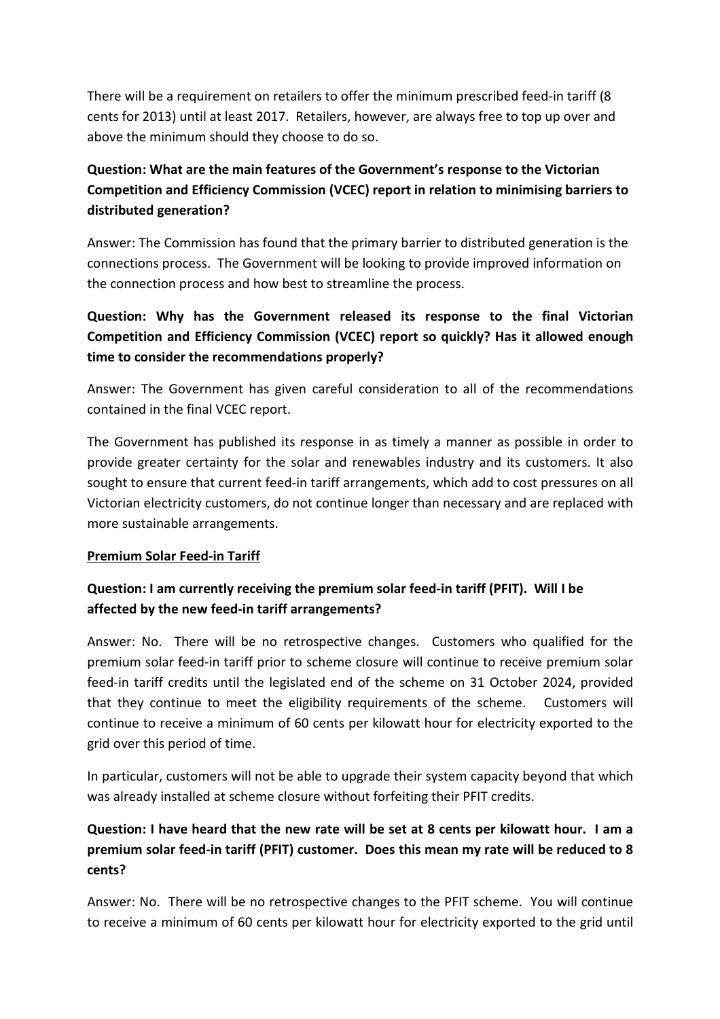There will be a requirement on retailers to offer the minimum prescribed feed-in tariff (8 cents for 2013) until at least 2017. Retailers, however, are always free to top up over and above the minimum should they choose to do so.

# **Question: What are the main features of the Government's response to the Victorian Competition and Efficiency Commission (VCEC) report in relation to minimising barriers to distributed generation?**

Answer: The Commission has found that the primary barrier to distributed generation is the connections process. The Government will be looking to provide improved information on the connection process and how best to streamline the process.

# **Question: Why has the Government released its response to the final Victorian Competition and Efficiency Commission (VCEC) report so quickly? Has it allowed enough time to consider the recommendations properly?**

Answer: The Government has given careful consideration to all of the recommendations contained in the final VCEC report.

The Government has published its response in as timely a manner as possible in order to provide greater certainty for the solar and renewables industry and its customers. It also sought to ensure that current feed-in tariff arrangements, which add to cost pressures on all Victorian electricity customers, do not continue longer than necessary and are replaced with more sustainable arrangements.

#### **Premium Solar Feed-in Tariff**

### **Question: I am currently receiving the premium solar feed-in tariff (PFIT). Will I be affected by the new feed-in tariff arrangements?**

Answer: No. There will be no retrospective changes. Customers who qualified for the premium solar feed-in tariff prior to scheme closure will continue to receive premium solar feed-in tariff credits until the legislated end of the scheme on 31 October 2024, provided that they continue to meet the eligibility requirements of the scheme. Customers will continue to receive a minimum of 60 cents per kilowatt hour for electricity exported to the grid over this period of time.

In particular, customers will not be able to upgrade their system capacity beyond that which was already installed at scheme closure without forfeiting their PFIT credits.

# **Question: I have heard that the new rate will be set at 8 cents per kilowatt hour. I am a premium solar feed-in tariff (PFIT) customer. Does this mean my rate will be reduced to 8 cents?**

Answer: No. There will be no retrospective changes to the PFIT scheme. You will continue to receive a minimum of 60 cents per kilowatt hour for electricity exported to the grid until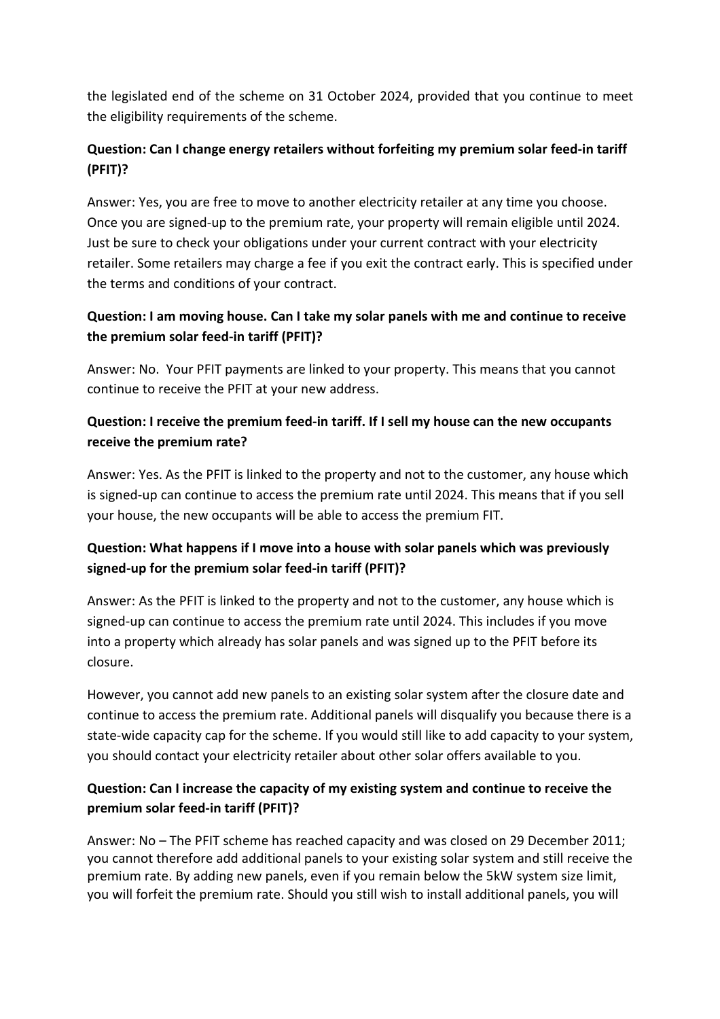the legislated end of the scheme on 31 October 2024, provided that you continue to meet the eligibility requirements of the scheme.

## **Question: Can I change energy retailers without forfeiting my premium solar feed-in tariff (PFIT)?**

Answer: Yes, you are free to move to another electricity retailer at any time you choose. Once you are signed-up to the premium rate, your property will remain eligible until 2024. Just be sure to check your obligations under your current contract with your electricity retailer. Some retailers may charge a fee if you exit the contract early. This is specified under the terms and conditions of your contract.

## **Question: I am moving house. Can I take my solar panels with me and continue to receive the premium solar feed-in tariff (PFIT)?**

Answer: No. Your PFIT payments are linked to your property. This means that you cannot continue to receive the PFIT at your new address.

### **Question: I receive the premium feed-in tariff. If I sell my house can the new occupants receive the premium rate?**

Answer: Yes. As the PFIT is linked to the property and not to the customer, any house which is signed-up can continue to access the premium rate until 2024. This means that if you sell your house, the new occupants will be able to access the premium FIT.

### **Question: What happens if I move into a house with solar panels which was previously signed-up for the premium solar feed-in tariff (PFIT)?**

Answer: As the PFIT is linked to the property and not to the customer, any house which is signed-up can continue to access the premium rate until 2024. This includes if you move into a property which already has solar panels and was signed up to the PFIT before its closure.

However, you cannot add new panels to an existing solar system after the closure date and continue to access the premium rate. Additional panels will disqualify you because there is a state-wide capacity cap for the scheme. If you would still like to add capacity to your system, you should contact your electricity retailer about other solar offers available to you.

### **Question: Can I increase the capacity of my existing system and continue to receive the premium solar feed-in tariff (PFIT)?**

Answer: No – The PFIT scheme has reached capacity and was closed on 29 December 2011; you cannot therefore add additional panels to your existing solar system and still receive the premium rate. By adding new panels, even if you remain below the 5kW system size limit, you will forfeit the premium rate. Should you still wish to install additional panels, you will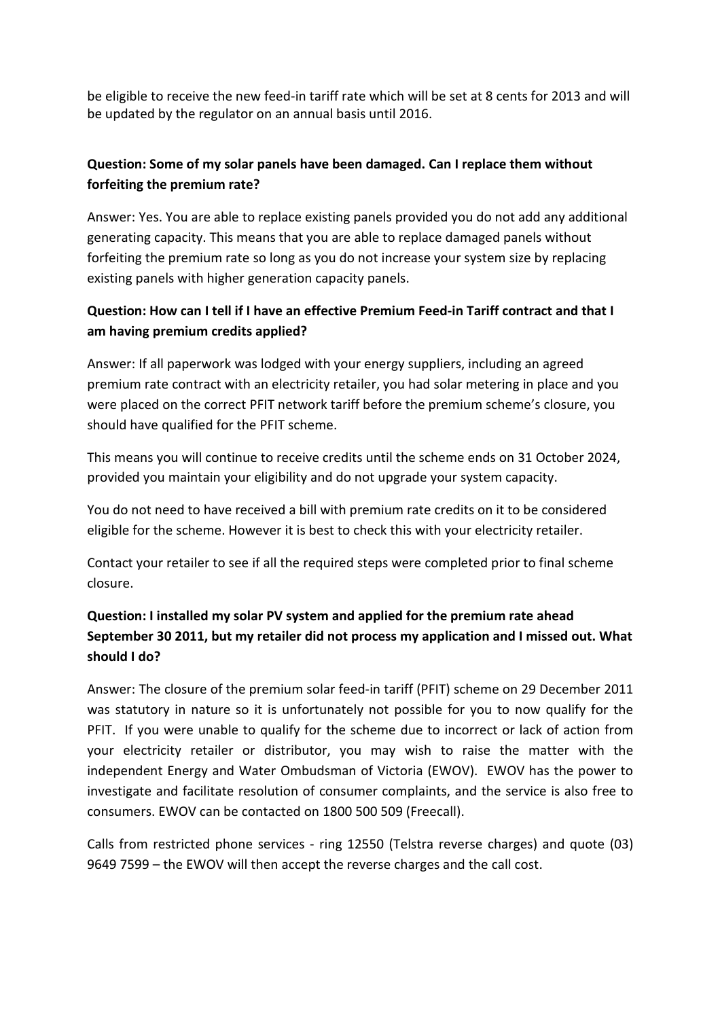be eligible to receive the new feed-in tariff rate which will be set at 8 cents for 2013 and will be updated by the regulator on an annual basis until 2016.

## **Question: Some of my solar panels have been damaged. Can I replace them without forfeiting the premium rate?**

Answer: Yes. You are able to replace existing panels provided you do not add any additional generating capacity. This means that you are able to replace damaged panels without forfeiting the premium rate so long as you do not increase your system size by replacing existing panels with higher generation capacity panels.

### **Question: How can I tell if I have an effective Premium Feed-in Tariff contract and that I am having premium credits applied?**

Answer: If all paperwork was lodged with your energy suppliers, including an agreed premium rate contract with an electricity retailer, you had solar metering in place and you were placed on the correct PFIT network tariff before the premium scheme's closure, you should have qualified for the PFIT scheme.

This means you will continue to receive credits until the scheme ends on 31 October 2024, provided you maintain your eligibility and do not upgrade your system capacity.

You do not need to have received a bill with premium rate credits on it to be considered eligible for the scheme. However it is best to check this with your electricity retailer.

Contact your retailer to see if all the required steps were completed prior to final scheme closure.

# **Question: I installed my solar PV system and applied for the premium rate ahead September 30 2011, but my retailer did not process my application and I missed out. What should I do?**

Answer: The closure of the premium solar feed-in tariff (PFIT) scheme on 29 December 2011 was statutory in nature so it is unfortunately not possible for you to now qualify for the PFIT. If you were unable to qualify for the scheme due to incorrect or lack of action from your electricity retailer or distributor, you may wish to raise the matter with the independent Energy and Water Ombudsman of Victoria (EWOV). EWOV has the power to investigate and facilitate resolution of consumer complaints, and the service is also free to consumers. EWOV can be contacted on 1800 500 509 (Freecall).

Calls from restricted phone services - ring 12550 (Telstra reverse charges) and quote (03) 9649 7599 – the EWOV will then accept the reverse charges and the call cost.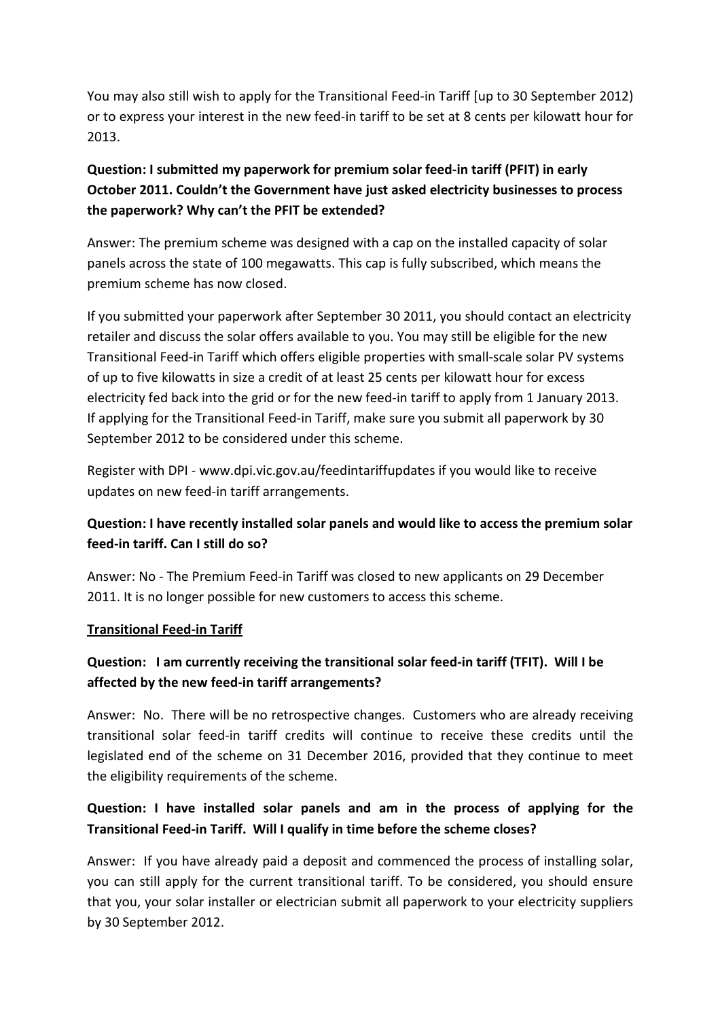You may also still wish to apply for the Transitional Feed-in Tariff [up to 30 September 2012) or to express your interest in the new feed-in tariff to be set at 8 cents per kilowatt hour for 2013.

# **Question: I submitted my paperwork for premium solar feed-in tariff (PFIT) in early October 2011. Couldn't the Government have just asked electricity businesses to process the paperwork? Why can't the PFIT be extended?**

Answer: The premium scheme was designed with a cap on the installed capacity of solar panels across the state of 100 megawatts. This cap is fully subscribed, which means the premium scheme has now closed.

If you submitted your paperwork after September 30 2011, you should contact an electricity retailer and discuss the solar offers available to you. You may still be eligible for the new Transitional Feed-in Tariff which offers eligible properties with small-scale solar PV systems of up to five kilowatts in size a credit of at least 25 cents per kilowatt hour for excess electricity fed back into the grid or for the new feed-in tariff to apply from 1 January 2013. If applying for the Transitional Feed-in Tariff, make sure you submit all paperwork by 30 September 2012 to be considered under this scheme.

Register with DPI - www.dpi.vic.gov.au/feedintariffupdates if you would like to receive updates on new feed-in tariff arrangements.

# **Question: I have recently installed solar panels and would like to access the premium solar feed-in tariff. Can I still do so?**

Answer: No - The Premium Feed-in Tariff was closed to new applicants on 29 December 2011. It is no longer possible for new customers to access this scheme.

#### **Transitional Feed-in Tariff**

### **Question: I am currently receiving the transitional solar feed-in tariff (TFIT). Will I be affected by the new feed-in tariff arrangements?**

Answer: No. There will be no retrospective changes. Customers who are already receiving transitional solar feed-in tariff credits will continue to receive these credits until the legislated end of the scheme on 31 December 2016, provided that they continue to meet the eligibility requirements of the scheme.

### **Question: I have installed solar panels and am in the process of applying for the Transitional Feed-in Tariff. Will I qualify in time before the scheme closes?**

Answer: If you have already paid a deposit and commenced the process of installing solar, you can still apply for the current transitional tariff. To be considered, you should ensure that you, your solar installer or electrician submit all paperwork to your electricity suppliers by 30 September 2012.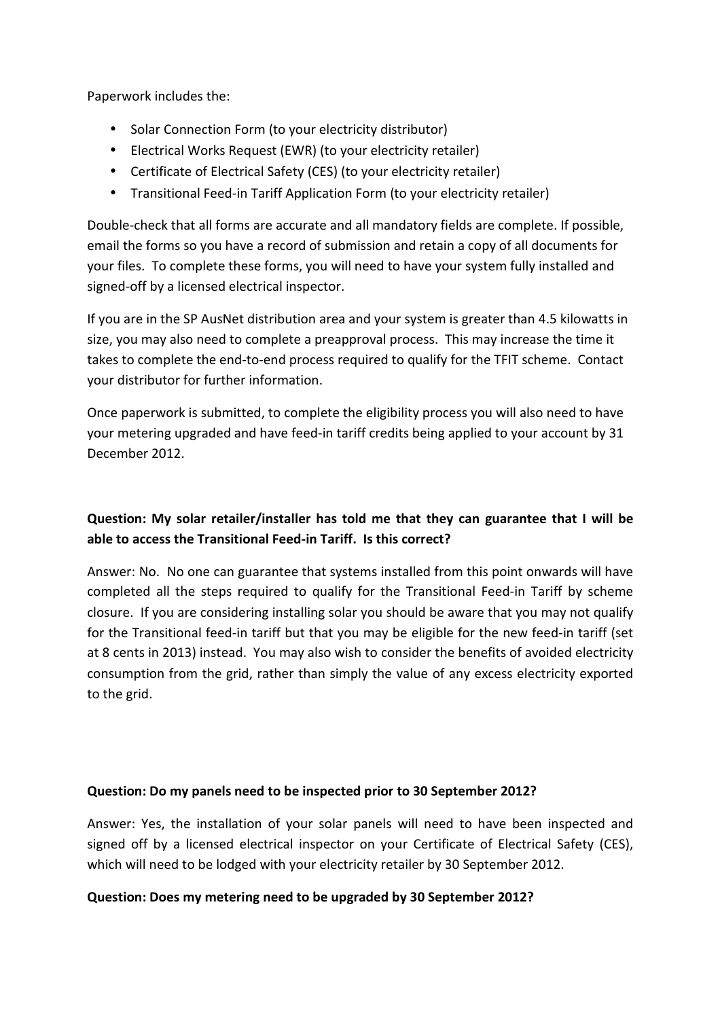Paperwork includes the:

- Solar Connection Form (to your electricity distributor)
- Electrical Works Request (EWR) (to your electricity retailer)
- Certificate of Electrical Safety (CES) (to your electricity retailer)
- Transitional Feed-in Tariff Application Form (to your electricity retailer)

Double-check that all forms are accurate and all mandatory fields are complete. If possible, email the forms so you have a record of submission and retain a copy of all documents for your files. To complete these forms, you will need to have your system fully installed and signed-off by a licensed electrical inspector.

If you are in the SP AusNet distribution area and your system is greater than 4.5 kilowatts in size, you may also need to complete a preapproval process. This may increase the time it takes to complete the end-to-end process required to qualify for the TFIT scheme. Contact your distributor for further information.

Once paperwork is submitted, to complete the eligibility process you will also need to have your metering upgraded and have feed-in tariff credits being applied to your account by 31 December 2012.

# **Question: My solar retailer/installer has told me that they can guarantee that I will be able to access the Transitional Feed-in Tariff. Is this correct?**

Answer: No. No one can guarantee that systems installed from this point onwards will have completed all the steps required to qualify for the Transitional Feed-in Tariff by scheme closure. If you are considering installing solar you should be aware that you may not qualify for the Transitional feed-in tariff but that you may be eligible for the new feed-in tariff (set at 8 cents in 2013) instead. You may also wish to consider the benefits of avoided electricity consumption from the grid, rather than simply the value of any excess electricity exported to the grid.

#### **Question: Do my panels need to be inspected prior to 30 September 2012?**

Answer: Yes, the installation of your solar panels will need to have been inspected and signed off by a licensed electrical inspector on your Certificate of Electrical Safety (CES), which will need to be lodged with your electricity retailer by 30 September 2012.

#### **Question: Does my metering need to be upgraded by 30 September 2012?**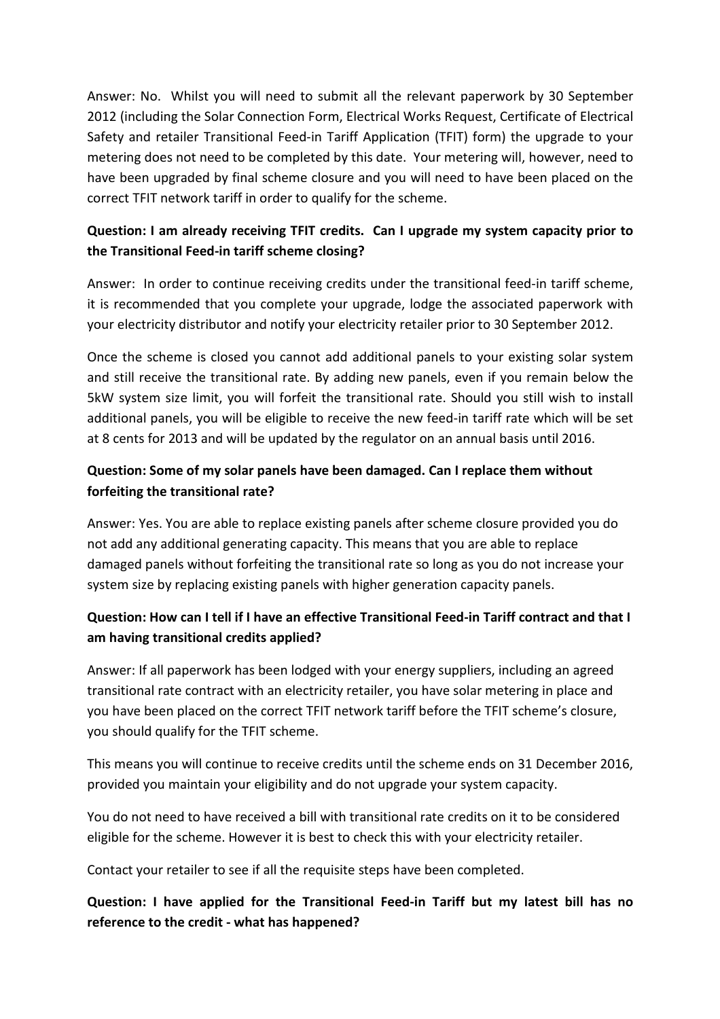Answer: No. Whilst you will need to submit all the relevant paperwork by 30 September 2012 (including the Solar Connection Form, Electrical Works Request, Certificate of Electrical Safety and retailer Transitional Feed-in Tariff Application (TFIT) form) the upgrade to your metering does not need to be completed by this date. Your metering will, however, need to have been upgraded by final scheme closure and you will need to have been placed on the correct TFIT network tariff in order to qualify for the scheme.

# **Question: I am already receiving TFIT credits. Can I upgrade my system capacity prior to the Transitional Feed-in tariff scheme closing?**

Answer: In order to continue receiving credits under the transitional feed-in tariff scheme, it is recommended that you complete your upgrade, lodge the associated paperwork with your electricity distributor and notify your electricity retailer prior to 30 September 2012.

Once the scheme is closed you cannot add additional panels to your existing solar system and still receive the transitional rate. By adding new panels, even if you remain below the 5kW system size limit, you will forfeit the transitional rate. Should you still wish to install additional panels, you will be eligible to receive the new feed-in tariff rate which will be set at 8 cents for 2013 and will be updated by the regulator on an annual basis until 2016.

# **Question: Some of my solar panels have been damaged. Can I replace them without forfeiting the transitional rate?**

Answer: Yes. You are able to replace existing panels after scheme closure provided you do not add any additional generating capacity. This means that you are able to replace damaged panels without forfeiting the transitional rate so long as you do not increase your system size by replacing existing panels with higher generation capacity panels.

# **Question: How can I tell if I have an effective Transitional Feed-in Tariff contract and that I am having transitional credits applied?**

Answer: If all paperwork has been lodged with your energy suppliers, including an agreed transitional rate contract with an electricity retailer, you have solar metering in place and you have been placed on the correct TFIT network tariff before the TFIT scheme's closure, you should qualify for the TFIT scheme.

This means you will continue to receive credits until the scheme ends on 31 December 2016, provided you maintain your eligibility and do not upgrade your system capacity.

You do not need to have received a bill with transitional rate credits on it to be considered eligible for the scheme. However it is best to check this with your electricity retailer.

Contact your retailer to see if all the requisite steps have been completed.

# **Question: I have applied for the Transitional Feed-in Tariff but my latest bill has no reference to the credit - what has happened?**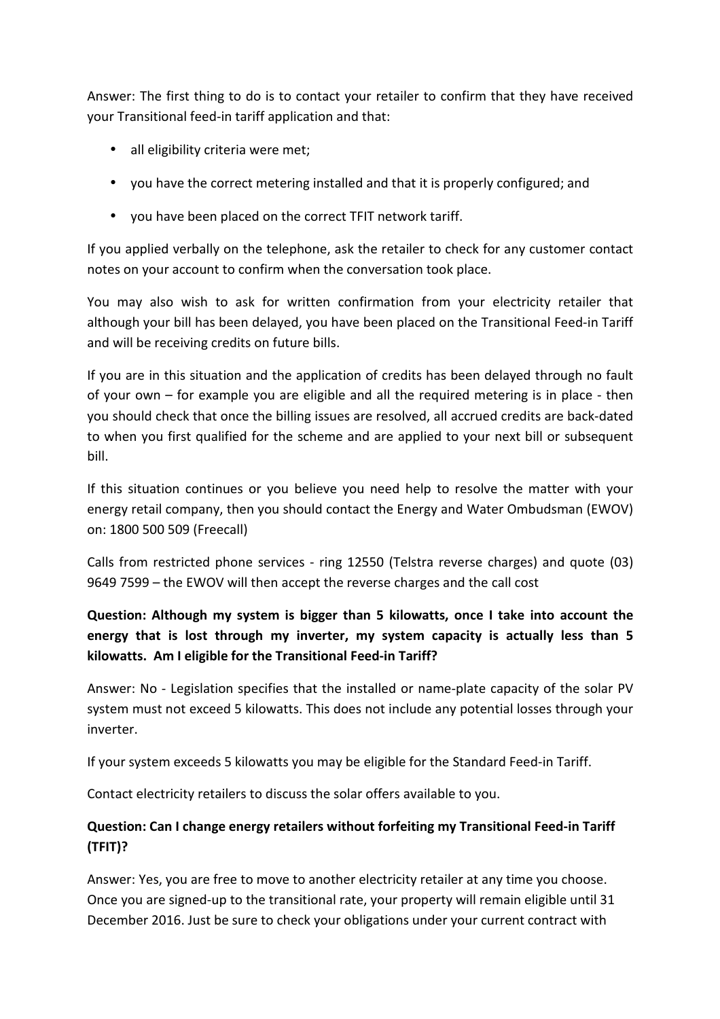Answer: The first thing to do is to contact your retailer to confirm that they have received your Transitional feed-in tariff application and that:

- all eligibility criteria were met;
- you have the correct metering installed and that it is properly configured; and
- you have been placed on the correct TFIT network tariff.

If you applied verbally on the telephone, ask the retailer to check for any customer contact notes on your account to confirm when the conversation took place.

You may also wish to ask for written confirmation from your electricity retailer that although your bill has been delayed, you have been placed on the Transitional Feed-in Tariff and will be receiving credits on future bills.

If you are in this situation and the application of credits has been delayed through no fault of your own – for example you are eligible and all the required metering is in place - then you should check that once the billing issues are resolved, all accrued credits are back-dated to when you first qualified for the scheme and are applied to your next bill or subsequent bill.

If this situation continues or you believe you need help to resolve the matter with your energy retail company, then you should contact the Energy and Water Ombudsman (EWOV) on: 1800 500 509 (Freecall)

Calls from restricted phone services - ring 12550 (Telstra reverse charges) and quote (03) 9649 7599 – the EWOV will then accept the reverse charges and the call cost

# **Question: Although my system is bigger than 5 kilowatts, once I take into account the energy that is lost through my inverter, my system capacity is actually less than 5 kilowatts. Am I eligible for the Transitional Feed-in Tariff?**

Answer: No - Legislation specifies that the installed or name-plate capacity of the solar PV system must not exceed 5 kilowatts. This does not include any potential losses through your inverter.

If your system exceeds 5 kilowatts you may be eligible for the Standard Feed-in Tariff.

Contact electricity retailers to discuss the solar offers available to you.

### **Question: Can I change energy retailers without forfeiting my Transitional Feed-in Tariff (TFIT)?**

Answer: Yes, you are free to move to another electricity retailer at any time you choose. Once you are signed-up to the transitional rate, your property will remain eligible until 31 December 2016. Just be sure to check your obligations under your current contract with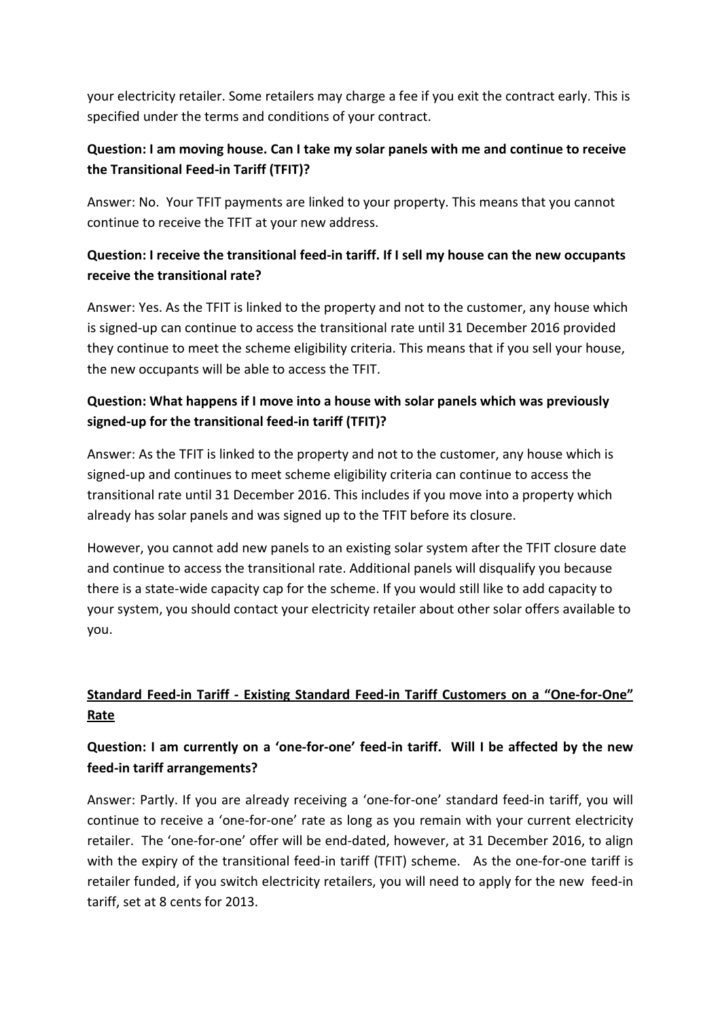your electricity retailer. Some retailers may charge a fee if you exit the contract early. This is specified under the terms and conditions of your contract.

## **Question: I am moving house. Can I take my solar panels with me and continue to receive the Transitional Feed-in Tariff (TFIT)?**

Answer: No. Your TFIT payments are linked to your property. This means that you cannot continue to receive the TFIT at your new address.

## **Question: I receive the transitional feed-in tariff. If I sell my house can the new occupants receive the transitional rate?**

Answer: Yes. As the TFIT is linked to the property and not to the customer, any house which is signed-up can continue to access the transitional rate until 31 December 2016 provided they continue to meet the scheme eligibility criteria. This means that if you sell your house, the new occupants will be able to access the TFIT.

# **Question: What happens if I move into a house with solar panels which was previously signed-up for the transitional feed-in tariff (TFIT)?**

Answer: As the TFIT is linked to the property and not to the customer, any house which is signed-up and continues to meet scheme eligibility criteria can continue to access the transitional rate until 31 December 2016. This includes if you move into a property which already has solar panels and was signed up to the TFIT before its closure.

However, you cannot add new panels to an existing solar system after the TFIT closure date and continue to access the transitional rate. Additional panels will disqualify you because there is a state-wide capacity cap for the scheme. If you would still like to add capacity to your system, you should contact your electricity retailer about other solar offers available to you.

# **Standard Feed-in Tariff - Existing Standard Feed-in Tariff Customers on a "One-for-One" Rate**

# **Question: I am currently on a 'one-for-one' feed-in tariff. Will I be affected by the new feed-in tariff arrangements?**

Answer: Partly. If you are already receiving a 'one-for-one' standard feed-in tariff, you will continue to receive a 'one-for-one' rate as long as you remain with your current electricity retailer. The 'one-for-one' offer will be end-dated, however, at 31 December 2016, to align with the expiry of the transitional feed-in tariff (TFIT) scheme. As the one-for-one tariff is retailer funded, if you switch electricity retailers, you will need to apply for the new feed-in tariff, set at 8 cents for 2013.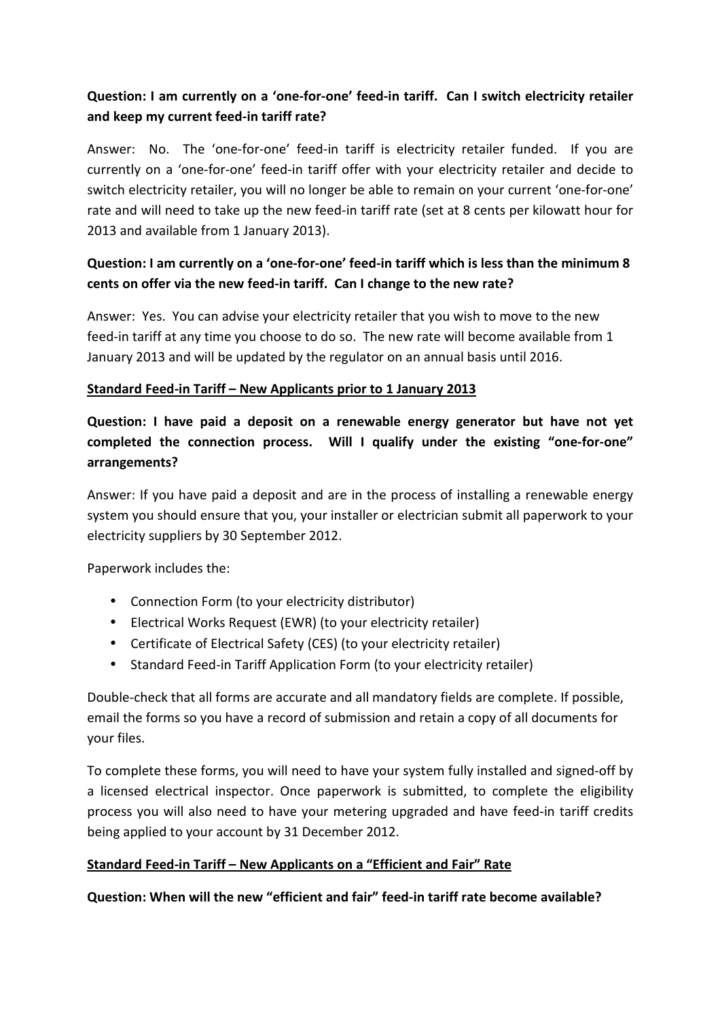# **Question: I am currently on a 'one-for-one' feed-in tariff. Can I switch electricity retailer and keep my current feed-in tariff rate?**

Answer: No. The 'one-for-one' feed-in tariff is electricity retailer funded. If you are currently on a 'one-for-one' feed-in tariff offer with your electricity retailer and decide to switch electricity retailer, you will no longer be able to remain on your current 'one-for-one' rate and will need to take up the new feed-in tariff rate (set at 8 cents per kilowatt hour for 2013 and available from 1 January 2013).

## **Question: I am currently on a 'one-for-one' feed-in tariff which is less than the minimum 8 cents on offer via the new feed-in tariff. Can I change to the new rate?**

Answer: Yes. You can advise your electricity retailer that you wish to move to the new feed-in tariff at any time you choose to do so. The new rate will become available from 1 January 2013 and will be updated by the regulator on an annual basis until 2016.

#### **Standard Feed-in Tariff – New Applicants prior to 1 January 2013**

**Question: I have paid a deposit on a renewable energy generator but have not yet completed the connection process. Will I qualify under the existing "one-for-one" arrangements?** 

Answer: If you have paid a deposit and are in the process of installing a renewable energy system you should ensure that you, your installer or electrician submit all paperwork to your electricity suppliers by 30 September 2012.

Paperwork includes the:

- Connection Form (to your electricity distributor)
- Electrical Works Request (EWR) (to your electricity retailer)
- Certificate of Electrical Safety (CES) (to your electricity retailer)
- Standard Feed-in Tariff Application Form (to your electricity retailer)

Double-check that all forms are accurate and all mandatory fields are complete. If possible, email the forms so you have a record of submission and retain a copy of all documents for your files.

To complete these forms, you will need to have your system fully installed and signed-off by a licensed electrical inspector. Once paperwork is submitted, to complete the eligibility process you will also need to have your metering upgraded and have feed-in tariff credits being applied to your account by 31 December 2012.

### **Standard Feed-in Tariff – New Applicants on a "Efficient and Fair" Rate**

**Question: When will the new "efficient and fair" feed-in tariff rate become available?**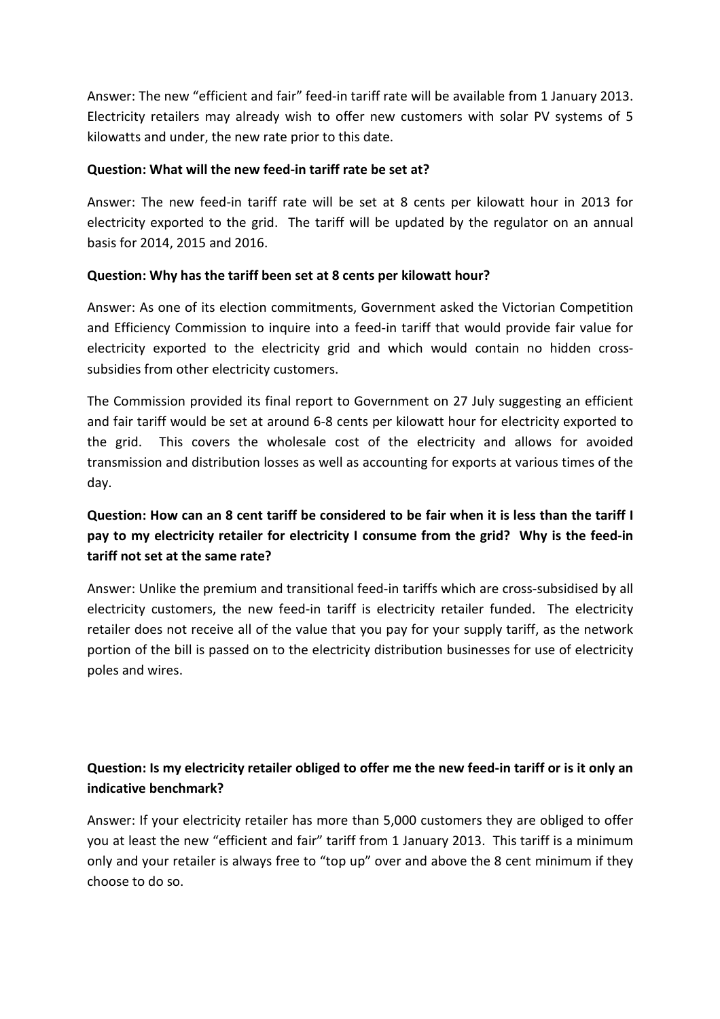Answer: The new "efficient and fair" feed-in tariff rate will be available from 1 January 2013. Electricity retailers may already wish to offer new customers with solar PV systems of 5 kilowatts and under, the new rate prior to this date.

#### **Question: What will the new feed-in tariff rate be set at?**

Answer: The new feed-in tariff rate will be set at 8 cents per kilowatt hour in 2013 for electricity exported to the grid. The tariff will be updated by the regulator on an annual basis for 2014, 2015 and 2016.

#### **Question: Why has the tariff been set at 8 cents per kilowatt hour?**

Answer: As one of its election commitments, Government asked the Victorian Competition and Efficiency Commission to inquire into a feed-in tariff that would provide fair value for electricity exported to the electricity grid and which would contain no hidden crosssubsidies from other electricity customers.

The Commission provided its final report to Government on 27 July suggesting an efficient and fair tariff would be set at around 6-8 cents per kilowatt hour for electricity exported to the grid. This covers the wholesale cost of the electricity and allows for avoided transmission and distribution losses as well as accounting for exports at various times of the day.

## **Question: How can an 8 cent tariff be considered to be fair when it is less than the tariff I pay to my electricity retailer for electricity I consume from the grid? Why is the feed-in tariff not set at the same rate?**

Answer: Unlike the premium and transitional feed-in tariffs which are cross-subsidised by all electricity customers, the new feed-in tariff is electricity retailer funded. The electricity retailer does not receive all of the value that you pay for your supply tariff, as the network portion of the bill is passed on to the electricity distribution businesses for use of electricity poles and wires.

# **Question: Is my electricity retailer obliged to offer me the new feed-in tariff or is it only an indicative benchmark?**

Answer: If your electricity retailer has more than 5,000 customers they are obliged to offer you at least the new "efficient and fair" tariff from 1 January 2013. This tariff is a minimum only and your retailer is always free to "top up" over and above the 8 cent minimum if they choose to do so.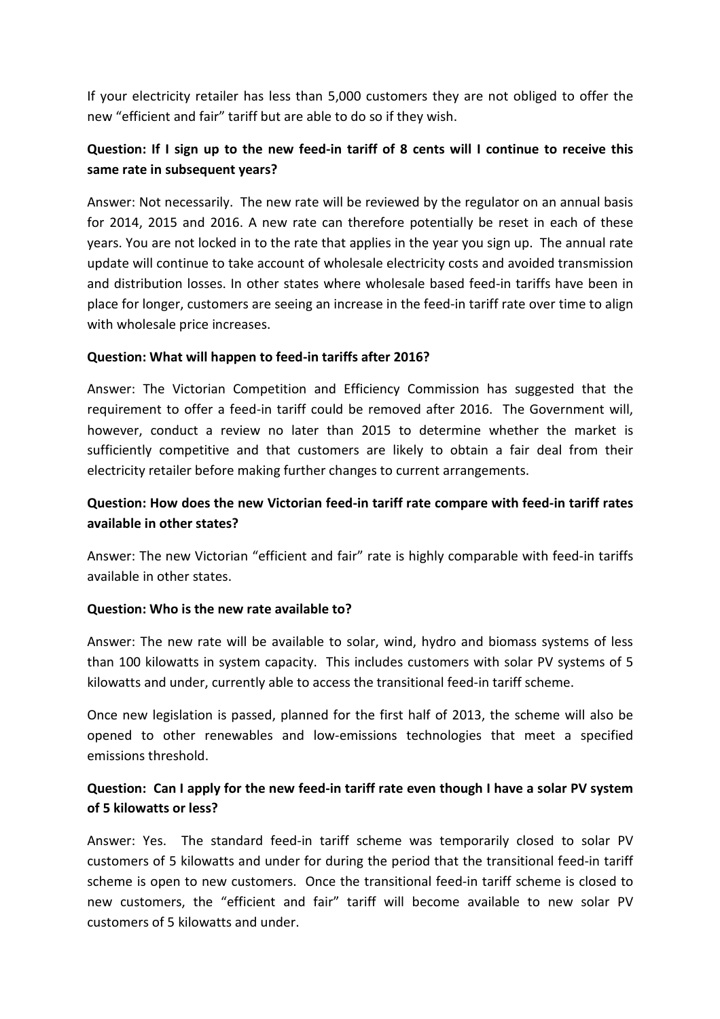If your electricity retailer has less than 5,000 customers they are not obliged to offer the new "efficient and fair" tariff but are able to do so if they wish.

## **Question: If I sign up to the new feed-in tariff of 8 cents will I continue to receive this same rate in subsequent years?**

Answer: Not necessarily. The new rate will be reviewed by the regulator on an annual basis for 2014, 2015 and 2016. A new rate can therefore potentially be reset in each of these years. You are not locked in to the rate that applies in the year you sign up. The annual rate update will continue to take account of wholesale electricity costs and avoided transmission and distribution losses. In other states where wholesale based feed-in tariffs have been in place for longer, customers are seeing an increase in the feed-in tariff rate over time to align with wholesale price increases.

#### **Question: What will happen to feed-in tariffs after 2016?**

Answer: The Victorian Competition and Efficiency Commission has suggested that the requirement to offer a feed-in tariff could be removed after 2016. The Government will, however, conduct a review no later than 2015 to determine whether the market is sufficiently competitive and that customers are likely to obtain a fair deal from their electricity retailer before making further changes to current arrangements.

### **Question: How does the new Victorian feed-in tariff rate compare with feed-in tariff rates available in other states?**

Answer: The new Victorian "efficient and fair" rate is highly comparable with feed-in tariffs available in other states.

#### **Question: Who is the new rate available to?**

Answer: The new rate will be available to solar, wind, hydro and biomass systems of less than 100 kilowatts in system capacity. This includes customers with solar PV systems of 5 kilowatts and under, currently able to access the transitional feed-in tariff scheme.

Once new legislation is passed, planned for the first half of 2013, the scheme will also be opened to other renewables and low-emissions technologies that meet a specified emissions threshold.

#### **Question: Can I apply for the new feed-in tariff rate even though I have a solar PV system of 5 kilowatts or less?**

Answer: Yes. The standard feed-in tariff scheme was temporarily closed to solar PV customers of 5 kilowatts and under for during the period that the transitional feed-in tariff scheme is open to new customers. Once the transitional feed-in tariff scheme is closed to new customers, the "efficient and fair" tariff will become available to new solar PV customers of 5 kilowatts and under.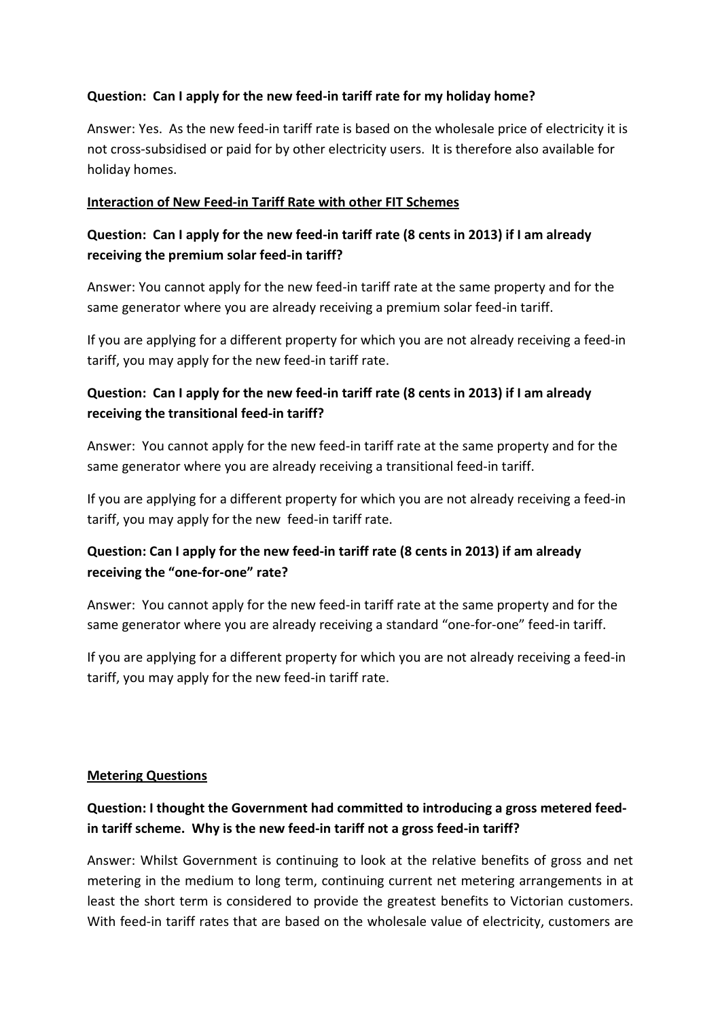#### **Question: Can I apply for the new feed-in tariff rate for my holiday home?**

Answer: Yes. As the new feed-in tariff rate is based on the wholesale price of electricity it is not cross-subsidised or paid for by other electricity users. It is therefore also available for holiday homes.

#### **Interaction of New Feed-in Tariff Rate with other FIT Schemes**

### **Question: Can I apply for the new feed-in tariff rate (8 cents in 2013) if I am already receiving the premium solar feed-in tariff?**

Answer: You cannot apply for the new feed-in tariff rate at the same property and for the same generator where you are already receiving a premium solar feed-in tariff.

If you are applying for a different property for which you are not already receiving a feed-in tariff, you may apply for the new feed-in tariff rate.

## **Question: Can I apply for the new feed-in tariff rate (8 cents in 2013) if I am already receiving the transitional feed-in tariff?**

Answer: You cannot apply for the new feed-in tariff rate at the same property and for the same generator where you are already receiving a transitional feed-in tariff.

If you are applying for a different property for which you are not already receiving a feed-in tariff, you may apply for the new feed-in tariff rate.

### **Question: Can I apply for the new feed-in tariff rate (8 cents in 2013) if am already receiving the "one-for-one" rate?**

Answer: You cannot apply for the new feed-in tariff rate at the same property and for the same generator where you are already receiving a standard "one-for-one" feed-in tariff.

If you are applying for a different property for which you are not already receiving a feed-in tariff, you may apply for the new feed-in tariff rate.

#### **Metering Questions**

# **Question: I thought the Government had committed to introducing a gross metered feedin tariff scheme. Why is the new feed-in tariff not a gross feed-in tariff?**

Answer: Whilst Government is continuing to look at the relative benefits of gross and net metering in the medium to long term, continuing current net metering arrangements in at least the short term is considered to provide the greatest benefits to Victorian customers. With feed-in tariff rates that are based on the wholesale value of electricity, customers are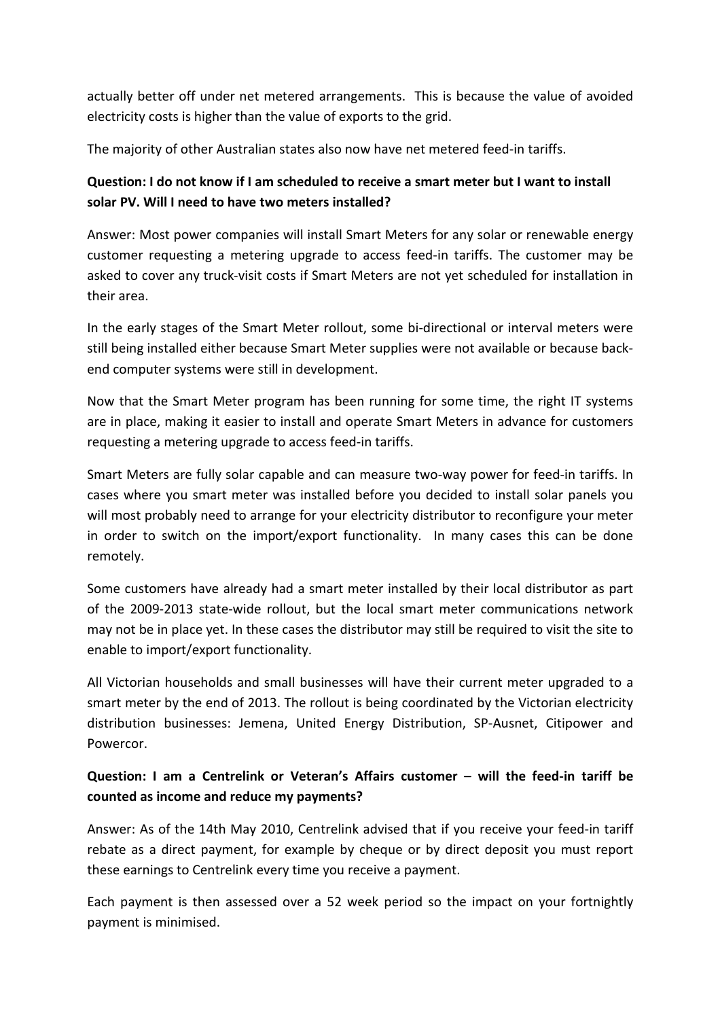actually better off under net metered arrangements. This is because the value of avoided electricity costs is higher than the value of exports to the grid.

The majority of other Australian states also now have net metered feed-in tariffs.

## **Question: I do not know if I am scheduled to receive a smart meter but I want to install solar PV. Will I need to have two meters installed?**

Answer: Most power companies will install Smart Meters for any solar or renewable energy customer requesting a metering upgrade to access feed-in tariffs. The customer may be asked to cover any truck-visit costs if Smart Meters are not yet scheduled for installation in their area.

In the early stages of the Smart Meter rollout, some bi-directional or interval meters were still being installed either because Smart Meter supplies were not available or because backend computer systems were still in development.

Now that the Smart Meter program has been running for some time, the right IT systems are in place, making it easier to install and operate Smart Meters in advance for customers requesting a metering upgrade to access feed-in tariffs.

Smart Meters are fully solar capable and can measure two-way power for feed-in tariffs. In cases where you smart meter was installed before you decided to install solar panels you will most probably need to arrange for your electricity distributor to reconfigure your meter in order to switch on the import/export functionality. In many cases this can be done remotely.

Some customers have already had a smart meter installed by their local distributor as part of the 2009-2013 state-wide rollout, but the local smart meter communications network may not be in place yet. In these cases the distributor may still be required to visit the site to enable to import/export functionality.

All Victorian households and small businesses will have their current meter upgraded to a smart meter by the end of 2013. The rollout is being coordinated by the Victorian electricity distribution businesses: Jemena, United Energy Distribution, SP-Ausnet, Citipower and Powercor.

# **Question: I am a Centrelink or Veteran's Affairs customer – will the feed-in tariff be counted as income and reduce my payments?**

Answer: As of the 14th May 2010, Centrelink advised that if you receive your feed-in tariff rebate as a direct payment, for example by cheque or by direct deposit you must report these earnings to Centrelink every time you receive a payment.

Each payment is then assessed over a 52 week period so the impact on your fortnightly payment is minimised.